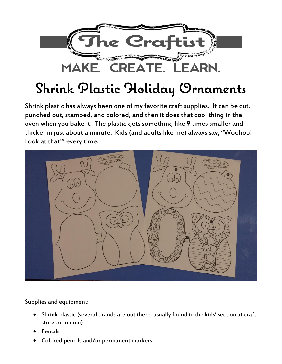

## **Shrink Plastic Holiday Ornaments**

Shrink plastic has always been one of my favorite craft supplies. It can be cut, punched out, stamped, and colored, and then it does that cool thing in the oven when you bake it. The plastic gets something like 9 times smaller and thicker in just about a minute. Kids (and adults like me) always say, "Woohoo! Look at that!" every time.



Supplies and equipment:

- Shrink plastic (several brands are out there, usually found in the kids' section at craft stores or online)
- Pencils
- Colored pencils and/or permanent markers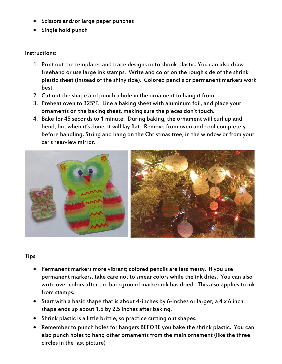- Scissors and/or large paper punches
- Single hold punch

## Instructions:

- 1. Print out the templates and trace designs onto shrink plastic. You can also draw freehand or use large ink stamps. Write and color on the rough side of the shrink plastic sheet (instead of the shiny side). Colored pencils or permanent markers work best.
- 2. Cut out the shape and punch a hole in the ornament to hang it from.
- 3. Preheat oven to 325°F. Line a baking sheet with aluminum foil, and place your ornaments on the baking sheet, making sure the pieces don't touch.
- 4. Bake for 45 seconds to 1 minute. During baking, the ornament will curl up and bend, but when it's done, it will lay flat. Remove from oven and cool completely before handling. String and hang on the Christmas tree, in the window or from your car's rearview mirror.



## Tips

- Permanent markers more vibrant; colored pencils are less messy. If you use permanent markers, take care not to smear colors while the ink dries. You can also write over colors after the background marker ink has dried. This also applies to ink from stamps.
- Start with a basic shape that is about 4-inches by 6-inches or larger; a 4 x 6 inch shape ends up about 1.5 by 2.5 inches after baking.
- Shrink plastic is a little brittle, so practice cutting out shapes.
- Remember to punch holes for hangers BEFORE you bake the shrink plastic. You can also punch holes to hang other ornaments from the main ornament (like the three circles in the last picture)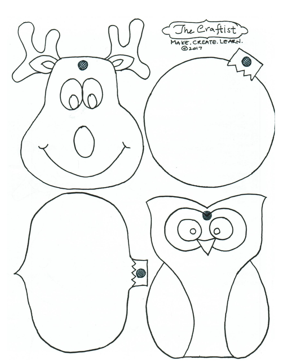